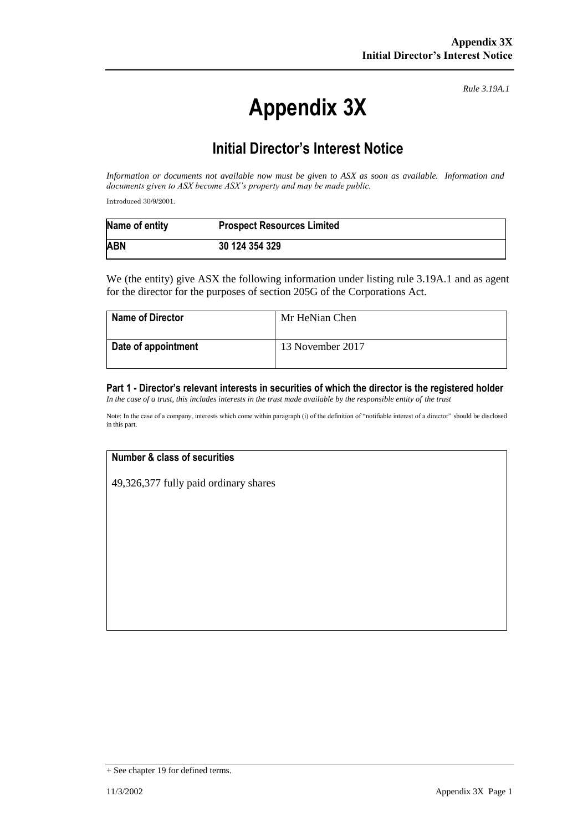# **Appendix 3X**

*Rule 3.19A.1*

# **Initial Director's Interest Notice**

*Information or documents not available now must be given to ASX as soon as available. Information and documents given to ASX become ASX's property and may be made public.*

Introduced 30/9/2001.

| Name of entity | <b>Prospect Resources Limited</b> |
|----------------|-----------------------------------|
| <b>ABN</b>     | 30 124 354 329                    |

We (the entity) give ASX the following information under listing rule 3.19A.1 and as agent for the director for the purposes of section 205G of the Corporations Act.

| <b>Name of Director</b> | Mr HeNian Chen   |
|-------------------------|------------------|
| Date of appointment     | 13 November 2017 |

## **Part 1 - Director's relevant interests in securities of which the director is the registered holder**

*In the case of a trust, this includes interests in the trust made available by the responsible entity of the trust*

Note: In the case of a company, interests which come within paragraph (i) of the definition of "notifiable interest of a director" should be disclosed in this part.

# **Number & class of securities**

49,326,377 fully paid ordinary shares

<sup>+</sup> See chapter 19 for defined terms.